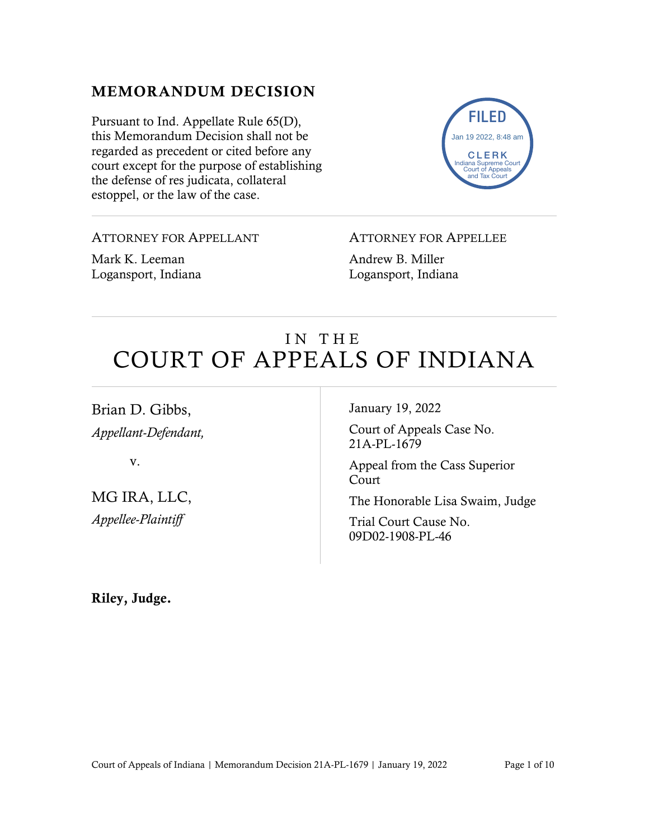## MEMORANDUM DECISION

Pursuant to Ind. Appellate Rule 65(D), this Memorandum Decision shall not be regarded as precedent or cited before any court except for the purpose of establishing the defense of res judicata, collateral estoppel, or the law of the case.



ATTORNEY FOR APPELLANT

Mark K. Leeman Logansport, Indiana ATTORNEY FOR APPELLEE

Andrew B. Miller Logansport, Indiana

# IN THE COURT OF APPEALS OF INDIANA

Brian D. Gibbs, *Appellant-Defendant,*

v.

MG IRA, LLC, *Appellee-Plaintiff*

January 19, 2022

Court of Appeals Case No. 21A-PL-1679

Appeal from the Cass Superior Court

The Honorable Lisa Swaim, Judge

Trial Court Cause No. 09D02-1908-PL-46

Riley, Judge.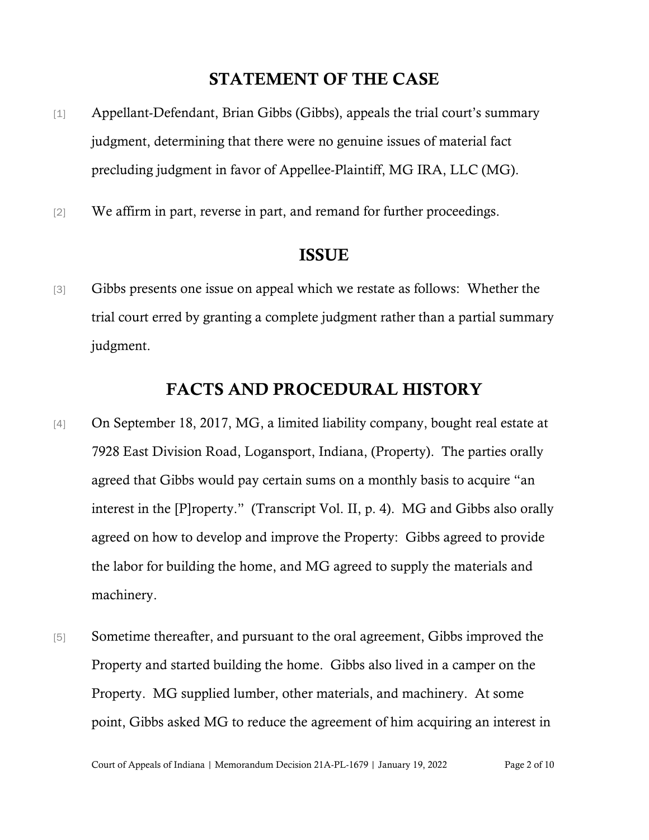## STATEMENT OF THE CASE

- [1] Appellant-Defendant, Brian Gibbs (Gibbs), appeals the trial court's summary judgment, determining that there were no genuine issues of material fact precluding judgment in favor of Appellee-Plaintiff, MG IRA, LLC (MG).
- [2] We affirm in part, reverse in part, and remand for further proceedings.

#### ISSUE

[3] Gibbs presents one issue on appeal which we restate as follows: Whether the trial court erred by granting a complete judgment rather than a partial summary judgment.

### FACTS AND PROCEDURAL HISTORY

- [4] On September 18, 2017, MG, a limited liability company, bought real estate at 7928 East Division Road, Logansport, Indiana, (Property). The parties orally agreed that Gibbs would pay certain sums on a monthly basis to acquire "an interest in the [P]roperty." (Transcript Vol. II, p. 4). MG and Gibbs also orally agreed on how to develop and improve the Property: Gibbs agreed to provide the labor for building the home, and MG agreed to supply the materials and machinery.
- [5] Sometime thereafter, and pursuant to the oral agreement, Gibbs improved the Property and started building the home. Gibbs also lived in a camper on the Property. MG supplied lumber, other materials, and machinery. At some point, Gibbs asked MG to reduce the agreement of him acquiring an interest in

Court of Appeals of Indiana | Memorandum Decision 21A-PL-1679 | January 19, 2022 Page 2 of 10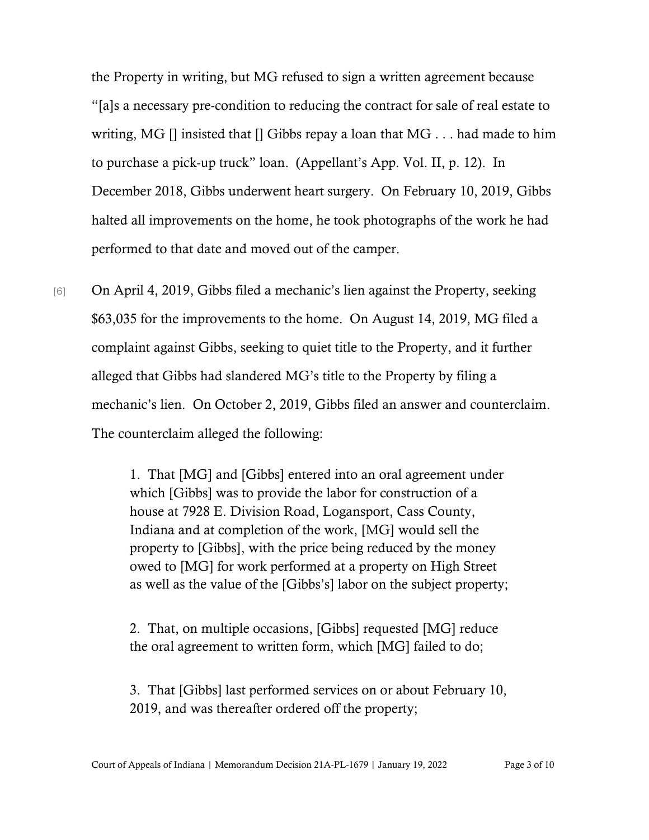the Property in writing, but MG refused to sign a written agreement because "[a]s a necessary pre-condition to reducing the contract for sale of real estate to writing, MG [] insisted that [] Gibbs repay a loan that MG . . . had made to him to purchase a pick-up truck" loan. (Appellant's App. Vol. II, p. 12). In December 2018, Gibbs underwent heart surgery. On February 10, 2019, Gibbs halted all improvements on the home, he took photographs of the work he had performed to that date and moved out of the camper.

[6] On April 4, 2019, Gibbs filed a mechanic's lien against the Property, seeking \$63,035 for the improvements to the home. On August 14, 2019, MG filed a complaint against Gibbs, seeking to quiet title to the Property, and it further alleged that Gibbs had slandered MG's title to the Property by filing a mechanic's lien. On October 2, 2019, Gibbs filed an answer and counterclaim. The counterclaim alleged the following:

> 1. That [MG] and [Gibbs] entered into an oral agreement under which [Gibbs] was to provide the labor for construction of a house at 7928 E. Division Road, Logansport, Cass County, Indiana and at completion of the work, [MG] would sell the property to [Gibbs], with the price being reduced by the money owed to [MG] for work performed at a property on High Street as well as the value of the [Gibbs's] labor on the subject property;

2. That, on multiple occasions, [Gibbs] requested [MG] reduce the oral agreement to written form, which [MG] failed to do;

3. That [Gibbs] last performed services on or about February 10, 2019, and was thereafter ordered off the property;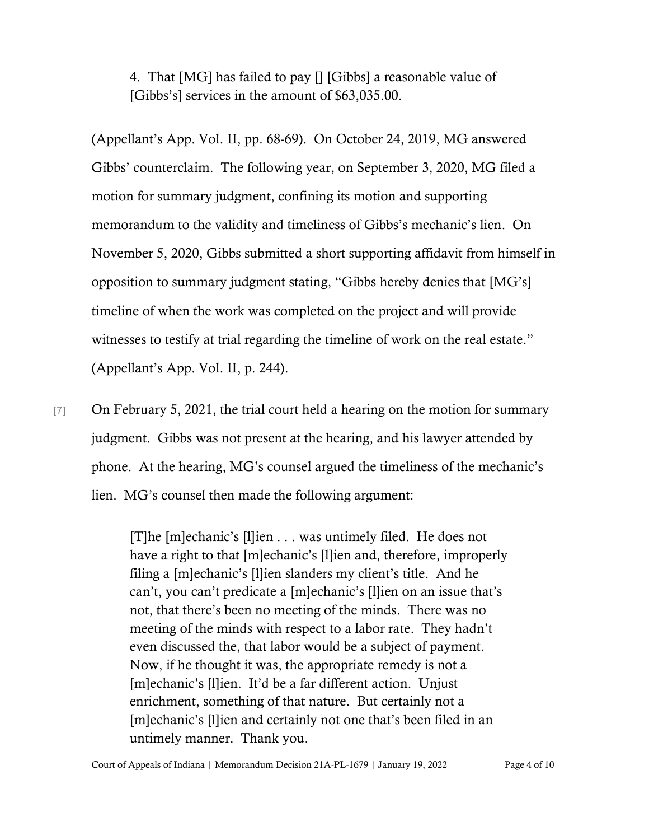4. That [MG] has failed to pay [] [Gibbs] a reasonable value of [Gibbs's] services in the amount of \$63,035.00.

(Appellant's App. Vol. II, pp. 68-69). On October 24, 2019, MG answered Gibbs' counterclaim. The following year, on September 3, 2020, MG filed a motion for summary judgment, confining its motion and supporting memorandum to the validity and timeliness of Gibbs's mechanic's lien. On November 5, 2020, Gibbs submitted a short supporting affidavit from himself in opposition to summary judgment stating, "Gibbs hereby denies that [MG's] timeline of when the work was completed on the project and will provide witnesses to testify at trial regarding the timeline of work on the real estate." (Appellant's App. Vol. II, p. 244).

[7] On February 5, 2021, the trial court held a hearing on the motion for summary judgment. Gibbs was not present at the hearing, and his lawyer attended by phone. At the hearing, MG's counsel argued the timeliness of the mechanic's lien. MG's counsel then made the following argument:

> [T]he [m]echanic's [l]ien . . . was untimely filed. He does not have a right to that [m]echanic's [l]ien and, therefore, improperly filing a [m]echanic's [l]ien slanders my client's title. And he can't, you can't predicate a [m]echanic's [l]ien on an issue that's not, that there's been no meeting of the minds. There was no meeting of the minds with respect to a labor rate. They hadn't even discussed the, that labor would be a subject of payment. Now, if he thought it was, the appropriate remedy is not a [m]echanic's [l]ien. It'd be a far different action. Unjust enrichment, something of that nature. But certainly not a [m]echanic's [l]ien and certainly not one that's been filed in an untimely manner. Thank you.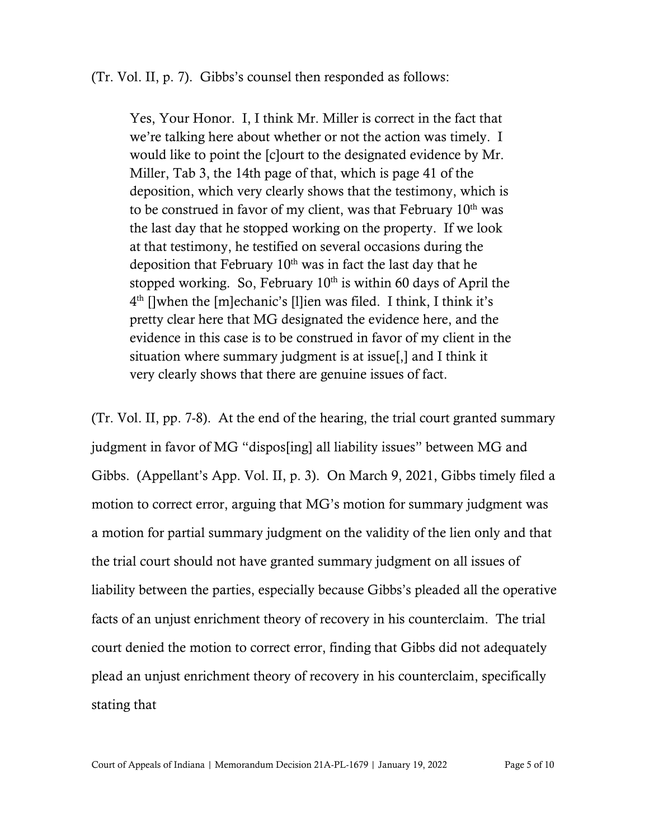(Tr. Vol. II, p. 7). Gibbs's counsel then responded as follows:

Yes, Your Honor. I, I think Mr. Miller is correct in the fact that we're talking here about whether or not the action was timely. I would like to point the [c]ourt to the designated evidence by Mr. Miller, Tab 3, the 14th page of that, which is page 41 of the deposition, which very clearly shows that the testimony, which is to be construed in favor of my client, was that February  $10<sup>th</sup>$  was the last day that he stopped working on the property. If we look at that testimony, he testified on several occasions during the deposition that February  $10<sup>th</sup>$  was in fact the last day that he stopped working. So, February  $10<sup>th</sup>$  is within 60 days of April the  $4<sup>th</sup>$  []when the [m]echanic's [1]ien was filed. I think, I think it's pretty clear here that MG designated the evidence here, and the evidence in this case is to be construed in favor of my client in the situation where summary judgment is at issue[,] and I think it very clearly shows that there are genuine issues of fact.

(Tr. Vol. II, pp. 7-8). At the end of the hearing, the trial court granted summary judgment in favor of MG "dispos[ing] all liability issues" between MG and Gibbs. (Appellant's App. Vol. II, p. 3). On March 9, 2021, Gibbs timely filed a motion to correct error, arguing that MG's motion for summary judgment was a motion for partial summary judgment on the validity of the lien only and that the trial court should not have granted summary judgment on all issues of liability between the parties, especially because Gibbs's pleaded all the operative facts of an unjust enrichment theory of recovery in his counterclaim. The trial court denied the motion to correct error, finding that Gibbs did not adequately plead an unjust enrichment theory of recovery in his counterclaim, specifically stating that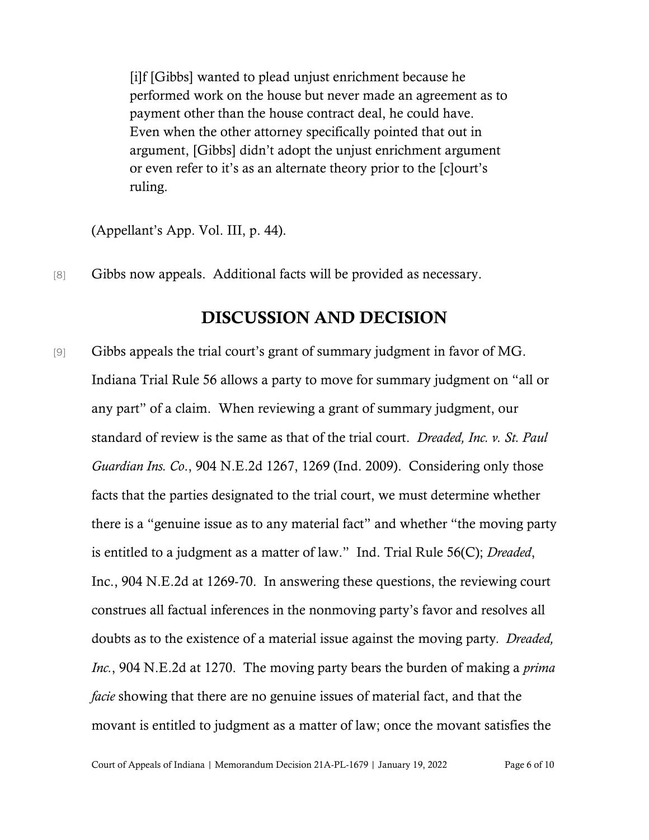[i]f [Gibbs] wanted to plead unjust enrichment because he performed work on the house but never made an agreement as to payment other than the house contract deal, he could have. Even when the other attorney specifically pointed that out in argument, [Gibbs] didn't adopt the unjust enrichment argument or even refer to it's as an alternate theory prior to the [c]ourt's ruling.

(Appellant's App. Vol. III, p. 44).

[8] Gibbs now appeals. Additional facts will be provided as necessary.

## DISCUSSION AND DECISION

[9] Gibbs appeals the trial court's grant of summary judgment in favor of MG. Indiana Trial Rule 56 allows a party to move for summary judgment on "all or any part" of a claim. When reviewing a grant of summary judgment, our standard of review is the same as that of the trial court. *Dreaded, Inc. v. St. Paul Guardian Ins. Co*., 904 N.E.2d 1267, 1269 (Ind. 2009). Considering only those facts that the parties designated to the trial court, we must determine whether there is a "genuine issue as to any material fact" and whether "the moving party is entitled to a judgment as a matter of law." Ind. Trial Rule 56(C); *Dreaded*, Inc., 904 N.E.2d at 1269-70. In answering these questions, the reviewing court construes all factual inferences in the nonmoving party's favor and resolves all doubts as to the existence of a material issue against the moving party*. Dreaded, Inc.*, 904 N.E.2d at 1270. The moving party bears the burden of making a *prima facie* showing that there are no genuine issues of material fact, and that the movant is entitled to judgment as a matter of law; once the movant satisfies the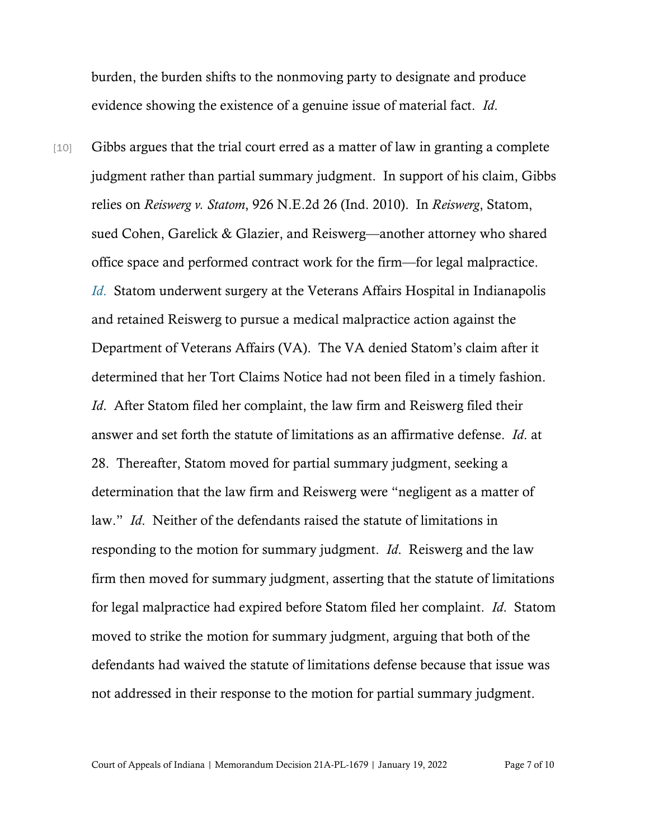burden, the burden shifts to the nonmoving party to designate and produce evidence showing the existence of a genuine issue of material fact. *Id*.

[10] Gibbs argues that the trial court erred as a matter of law in granting a complete judgment rather than partial summary judgment. In support of his claim, Gibbs relies on *Reiswerg v. Statom*, 926 N.E.2d 26 (Ind. 2010). In *Reiswerg*, Statom, sued Cohen, Garelick & Glazier, and Reiswerg—another attorney who shared office space and performed contract work for the firm—for legal malpractice. *[Id](https://www.westlaw.com/Document/I09c3bf0e598511dfab57d8fd5597ca43/View/FullText.html?transitionType=Default&contextData=(sc.Default)&VR=3.0&RS=da3.0)*[.](https://www.westlaw.com/Document/I09c3bf0e598511dfab57d8fd5597ca43/View/FullText.html?transitionType=Default&contextData=(sc.Default)&VR=3.0&RS=da3.0) Statom underwent surgery at the Veterans Affairs Hospital in Indianapolis and retained Reiswerg to pursue a medical malpractice action against the Department of Veterans Affairs (VA). The VA denied Statom's claim after it determined that her Tort Claims Notice had not been filed in a timely fashion. *Id*. After Statom filed her complaint, the law firm and Reiswerg filed their answer and set forth the statute of limitations as an affirmative defense. *Id*. at 28. Thereafter, Statom moved for partial summary judgment, seeking a determination that the law firm and Reiswerg were "negligent as a matter of law." *Id*. Neither of the defendants raised the statute of limitations in responding to the motion for summary judgment. *Id*. Reiswerg and the law firm then moved for summary judgment, asserting that the statute of limitations for legal malpractice had expired before Statom filed her complaint. *Id*. Statom moved to strike the motion for summary judgment, arguing that both of the defendants had waived the statute of limitations defense because that issue was not addressed in their response to the motion for partial summary judgment.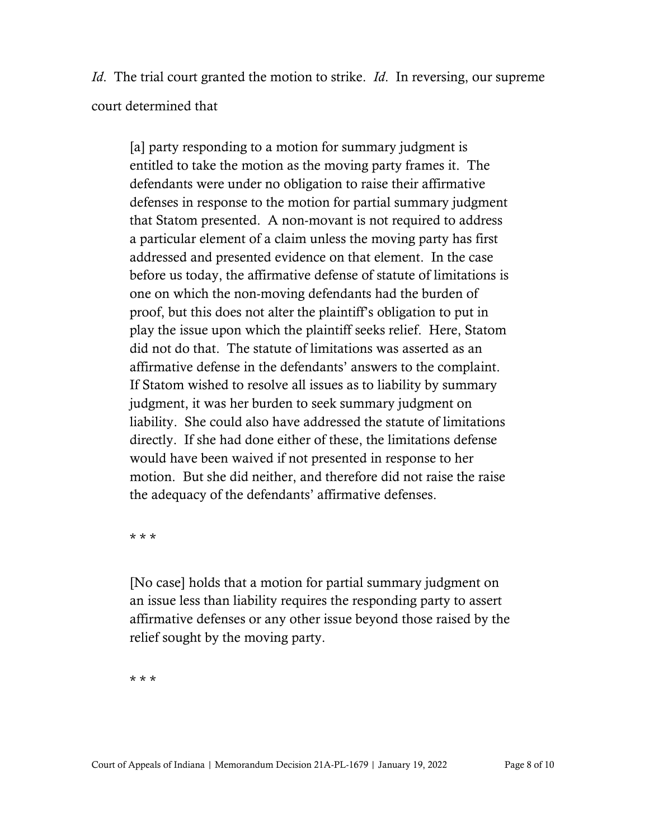*Id*. The trial court granted the motion to strike. *Id*. In reversing, our supreme court determined that

[a] party responding to a motion for summary judgment is entitled to take the motion as the moving party frames it. The defendants were under no obligation to raise their affirmative defenses in response to the motion for partial summary judgment that Statom presented. A non-movant is not required to address a particular element of a claim unless the moving party has first addressed and presented evidence on that element. In the case before us today, the affirmative defense of statute of limitations is one on which the non-moving defendants had the burden of proof, but this does not alter the plaintiff's obligation to put in play the issue upon which the plaintiff seeks relief. Here, Statom did not do that. The statute of limitations was asserted as an affirmative defense in the defendants' answers to the complaint. If Statom wished to resolve all issues as to liability by summary judgment, it was her burden to seek summary judgment on liability. She could also have addressed the statute of limitations directly. If she had done either of these, the limitations defense would have been waived if not presented in response to her motion. But she did neither, and therefore did not raise the raise the adequacy of the defendants' affirmative defenses.

\* \* \*

[No case] holds that a motion for partial summary judgment on an issue less than liability requires the responding party to assert affirmative defenses or any other issue beyond those raised by the relief sought by the moving party.

\* \* \*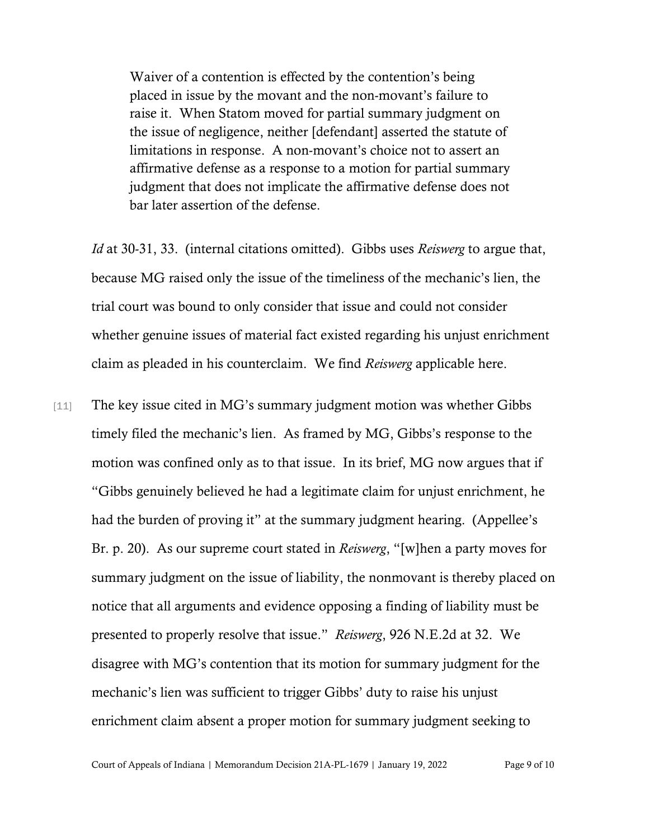Waiver of a contention is effected by the contention's being placed in issue by the movant and the non-movant's failure to raise it. When Statom moved for partial summary judgment on the issue of negligence, neither [defendant] asserted the statute of limitations in response. A non-movant's choice not to assert an affirmative defense as a response to a motion for partial summary judgment that does not implicate the affirmative defense does not bar later assertion of the defense.

*Id* at 30-31, 33. (internal citations omitted). Gibbs uses *Reiswerg* to argue that, because MG raised only the issue of the timeliness of the mechanic's lien, the trial court was bound to only consider that issue and could not consider whether genuine issues of material fact existed regarding his unjust enrichment claim as pleaded in his counterclaim. We find *Reiswerg* applicable here.

[11] The key issue cited in MG's summary judgment motion was whether Gibbs timely filed the mechanic's lien. As framed by MG, Gibbs's response to the motion was confined only as to that issue. In its brief, MG now argues that if "Gibbs genuinely believed he had a legitimate claim for unjust enrichment, he had the burden of proving it" at the summary judgment hearing. (Appellee's Br. p. 20). As our supreme court stated in *Reiswerg*, "[w]hen a party moves for summary judgment on the issue of liability, the nonmovant is thereby placed on notice that all arguments and evidence opposing a finding of liability must be presented to properly resolve that issue." *Reiswerg*, 926 N.E.2d at 32. We disagree with MG's contention that its motion for summary judgment for the mechanic's lien was sufficient to trigger Gibbs' duty to raise his unjust enrichment claim absent a proper motion for summary judgment seeking to

Court of Appeals of Indiana | Memorandum Decision 21A-PL-1679 | January 19, 2022 Page 9 of 10